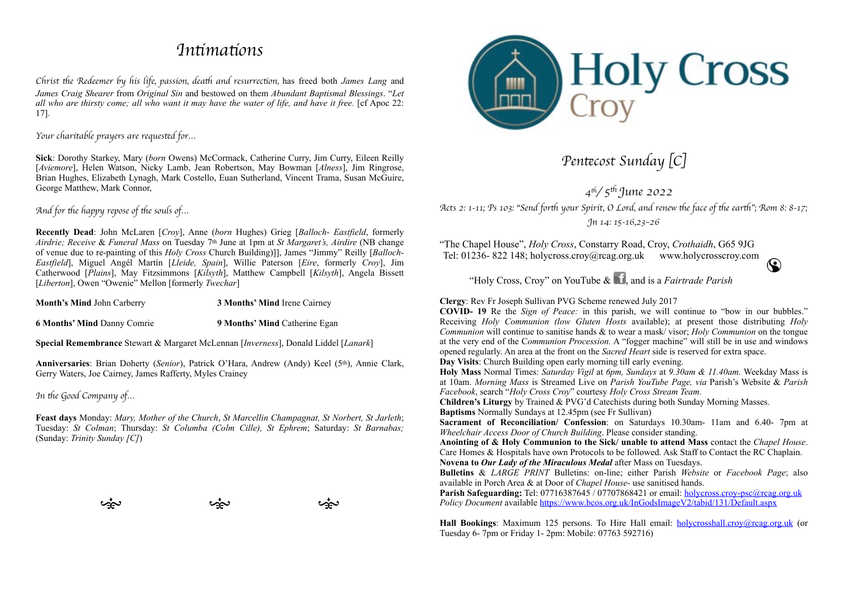## *In*ti*ma*ti*ons*

*Christ* th*e Redeemer by his life, passion, dea*th *and resurrec*ti*on,* has freed both *James Lang* and *James Craig Shearer* from *Original Sin* and bestowed on them *Abundant Baptismal Blessings*. "*Let all who are thirsty come; all who want it may have the water of life, and have it free.* [cf Apoc 22: 17].

## *Your charitable prayers are reques*te*d for…*

**Sick**: Dorothy Starkey, Mary (*born* Owens) McCormack, Catherine Curry, Jim Curry, Eileen Reilly [*Aviemore*], Helen Watson, Nicky Lamb, Jean Robertson, May Bowman [*Alness*], Jim Ringrose, Brian Hughes, Elizabeth Lynagh, Mark Costello, Euan Sutherland, Vincent Trama, Susan McGuire, George Matthew, Mark Connor,

*And for* th*e happy repose of* th*e souls of…*

**Recently Dead**: John McLaren [*Croy*], Anne (*born* Hughes) Grieg [*Balloch- Eastfield*, formerly *Airdrie; Receive* & *Funeral Mass* on Tuesday 7th June at 1pm at *St Margaret's, Airdire* (NB change of venue due to re-painting of this *Holy Cross* Church Building)]], James "Jimmy" Reilly [*Balloch-Eastfield*], Miguel Angél Martín [*Lleide, Spain*], Willie Paterson [*Eire*, formerly *Croy*], Jim Catherwood [*Plains*], May Fitzsimmons [*Kilsyth*], Matthew Campbell [*Kilsyth*], Angela Bissett [*Liberton*], Owen "Owenie" Mellon [formerly *Twechar*]

**Month's Mind** John Carberry **3 Months' Mind** Irene Cairney

**6 Months' Mind** Danny Comrie **9 Months' Mind** Catherine Egan

**Special Remembrance** Stewart & Margaret McLennan [*Inverness*], Donald Liddel [*Lanark*]

Anniversaries: Brian Doherty (*Senior*), Patrick O'Hara, Andrew (Andy) Keel (5<sup>th</sup>), Annie Clark, Gerry Waters, Joe Cairney, James Rafferty, Myles Crainey

*In* th*e Good Company of…*

**Feast days** Monday: *Mary, Mother of the Church*, *St Marcellin Champagnat, St Norbert, St Jarleth*; Tuesday: *St Colman*; Thursday: *St Columba (Colm Cille), St Ephrem*; Saturday: *St Barnabas;*  (Sunday: *Trinity Sunday [C]*)



 $\omega$  where  $\omega$  we will not  $\omega$ 



*Pen*te*cost Sunday* [*C*]

*4*<sup>t</sup>*/ 5*th *June 2022 Acts 2: 1-11; Ps 103:* "*Send for*th *your Spirit, O Lord, and renew* th*e face of* th*e ear*th"*; Rom 8: 8-17; Jn 14: 15-16,23*–*26*

"The Chapel House", *Holy Cross*, Constarry Road, Croy, *Crothaidh*, G65 9JG Tel: 01236- 822 148; holycross.croy@rcag.org.uk www.holycrosscroy.com  $\odot$ 



**Clergy**: Rev Fr Joseph Sullivan PVG Scheme renewed July 2017

**COVID- 19** Re the *Sign of Peace:* in this parish, we will continue to "bow in our bubbles." Receiving *Holy Communion (low Gluten Hosts* available); at present those distributing *Holy Communion* will continue to sanitise hands & to wear a mask/ visor; *Holy Communion* on the tongue at the very end of the C*ommunion Procession.* A "fogger machine" will still be in use and windows opened regularly. An area at the front on the *Sacred Heart* side is reserved for extra space.

**Day Visits**: Church Building open early morning till early evening.

**Holy Mass** Normal Times: *Saturday Vigil* at *6pm, Sundays* at *9.30am & 11.40am.* Weekday Mass is at 10am. *Morning Mass* is Streamed Live on *Parish YouTube Page, via* Parish's Website & *Parish Facebook*, search "*Holy Cross Croy*" courtesy *Holy Cross Stream Team.*

**Children's Liturgy** by Trained & PVG'd Catechists during both Sunday Morning Masses. **Baptisms** Normally Sundays at 12.45pm (see Fr Sullivan)

**Sacrament of Reconciliation/ Confession**: on Saturdays 10.30am- 11am and 6.40- 7pm at *Wheelchair Access Door of Church Building*. Please consider standing.

**Anointing of & Holy Communion to the Sick/ unable to attend Mass** contact the *Chapel House*. Care Homes & Hospitals have own Protocols to be followed. Ask Staff to Contact the RC Chaplain. **Novena to** *Our Lady of the Miraculous Medal* after Mass on Tuesdays.

**Bulletins** & *LARGE PRINT* Bulletins: on-line; either Parish *Website* or *Facebook Page*; also available in Porch Area & at Door of *Chapel House-* use sanitised hands.

Parish Safeguarding: Tel: 07716387645 / 07707868421 or email: [holycross.croy-psc@rcag.org.uk](mailto:holycross.croy-psc@rcag.org.uk) *Policy Document* available<https://www.bcos.org.uk/InGodsImageV2/tabid/131/Default.aspx>

**Hall Bookings**: Maximum 125 persons. To Hire Hall email: [holycrosshall.croy@rcag.org.uk](mailto:holycrosshall.croy@rcag.org.uk) (or Tuesday 6- 7pm or Friday 1- 2pm: Mobile: 07763 592716)